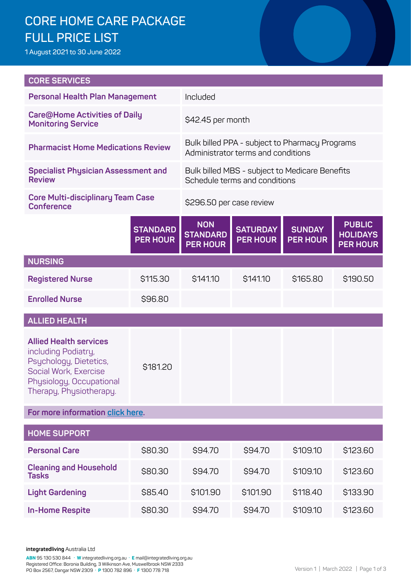# **CORE HOME CARE PACKAGE FULL PRICE LIST**

**1 August 2021 to 30 June 2022**

| <b>CORE SERVICES</b>                                                                                                                                           |                                        |                                                                                      |                                    |                                  |                                                     |  |
|----------------------------------------------------------------------------------------------------------------------------------------------------------------|----------------------------------------|--------------------------------------------------------------------------------------|------------------------------------|----------------------------------|-----------------------------------------------------|--|
|                                                                                                                                                                | <b>Personal Health Plan Management</b> |                                                                                      | Included                           |                                  |                                                     |  |
| <b>Care@Home Activities of Daily</b><br><b>Monitoring Service</b>                                                                                              |                                        | \$42.45 per month                                                                    |                                    |                                  |                                                     |  |
| <b>Pharmacist Home Medications Review</b>                                                                                                                      |                                        | Bulk billed PPA - subject to Pharmacy Programs<br>Administrator terms and conditions |                                    |                                  |                                                     |  |
| <b>Specialist Physician Assessment and</b><br><b>Review</b>                                                                                                    |                                        | Bulk billed MBS - subject to Medicare Benefits<br>Schedule terms and conditions      |                                    |                                  |                                                     |  |
| <b>Core Multi-disciplinary Team Case</b><br><b>Conference</b>                                                                                                  |                                        | \$296.50 per case review                                                             |                                    |                                  |                                                     |  |
|                                                                                                                                                                | <b>STANDARD</b><br><b>PER HOUR</b>     | <b>NON</b><br><b>STANDARD</b><br><b>PER HOUR</b>                                     | <b>SATURDAY</b><br><b>PER HOUR</b> | <b>SUNDAY</b><br><b>PER HOUR</b> | <b>PUBLIC</b><br><b>HOLIDAYS</b><br><b>PER HOUR</b> |  |
| <b>NURSING</b>                                                                                                                                                 |                                        |                                                                                      |                                    |                                  |                                                     |  |
| <b>Registered Nurse</b>                                                                                                                                        | \$115.30                               | \$141.10                                                                             | \$141.10                           | \$165.80                         | \$190.50                                            |  |
| <b>Enrolled Nurse</b>                                                                                                                                          | \$96.80                                |                                                                                      |                                    |                                  |                                                     |  |
| <b>ALLIED HEALTH</b>                                                                                                                                           |                                        |                                                                                      |                                    |                                  |                                                     |  |
| <b>Allied Health services</b><br>including Podiatry,<br>Psychology, Dietetics,<br>Social Work, Exercise<br>Physiology, Occupational<br>Therapy, Physiotherapy. | \$181.20                               |                                                                                      |                                    |                                  |                                                     |  |
| For more information click here.                                                                                                                               |                                        |                                                                                      |                                    |                                  |                                                     |  |
| <b>HOME SUPPORT</b>                                                                                                                                            |                                        |                                                                                      |                                    |                                  |                                                     |  |
| <b>Personal Care</b>                                                                                                                                           | \$80.30                                | \$94.70                                                                              | \$94.70                            | \$109.10                         | \$123.60                                            |  |
| <b>Cleaning and Household</b><br><b>Tasks</b>                                                                                                                  | \$80.30                                | \$94.70                                                                              | \$94.70                            | \$109.10                         | \$123.60                                            |  |
| <b>Light Gardening</b>                                                                                                                                         | \$85.40                                | \$101.90                                                                             | \$101.90                           | \$118.40                         | \$133.90                                            |  |
| <b>In-Home Respite</b>                                                                                                                                         | \$80.30                                | \$94.70                                                                              | \$94.70                            | \$109.10                         | \$123.60                                            |  |

**integratedliving** Australia Ltd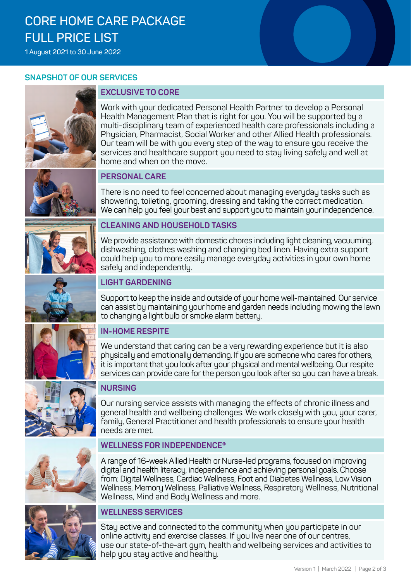# **CORE HOME CARE PACKAGE FULL PRICE LIST**

**1 August 2021 to 30 June 2022**

#### **SNAPSHOT OF OUR SERVICES**



## **EXCLUSIVE TO CORE**

Work with your dedicated Personal Health Partner to develop a Personal Health Management Plan that is right for you. You will be supported by a multi-disciplinary team of experienced health care professionals including a Physician, Pharmacist, Social Worker and other Allied Health professionals. Our team will be with you every step of the way to ensure you receive the services and healthcare support you need to stay living safely and well at home and when on the move.

#### **PERSONAL CARE**

There is no need to feel concerned about managing everyday tasks such as showering, toileting, grooming, dressing and taking the correct medication. We can help you feel your best and support you to maintain your independence.



#### **CLEANING AND HOUSEHOLD TASKS**

We provide assistance with domestic chores including light cleaning, vacuuming, dishwashing, clothes washing and changing bed linen. Having extra support could help you to more easily manage everyday activities in your own home safely and independently.



#### **LIGHT GARDENING**

Support to keep the inside and outside of your home well-maintained. Our service can assist by maintaining your home and garden needs including mowing the lawn to changing a light bulb or smoke alarm battery.

#### **IN-HOME RESPITE**

We understand that caring can be a very rewarding experience but it is also physically and emotionally demanding. If you are someone who cares for others, it is important that you look after your physical and mental wellbeing. Our respite services can provide care for the person you look after so you can have a break.



### **NURSING**

Our nursing service assists with managing the effects of chronic illness and general health and wellbeing challenges. We work closely with you, your carer, family, General Practitioner and health professionals to ensure your health needs are met.

#### **WELLNESS FOR INDEPENDENCE®**

A range of 16-week Allied Health or Nurse-led programs, focused on improving digital and health literacy, independence and achieving personal goals. Choose from: Digital Wellness, Cardiac Wellness, Foot and Diabetes Wellness, Low Vision Wellness, Memory Wellness, Palliative Wellness, Respiratory Wellness, Nutritional Wellness, Mind and Body Wellness and more.



#### **WELLNESS SERVICES**

Stay active and connected to the community when you participate in our online activity and exercise classes. If you live near one of our centres, use our state-of-the-art gym, health and wellbeing services and activities to help you stay active and healthy.